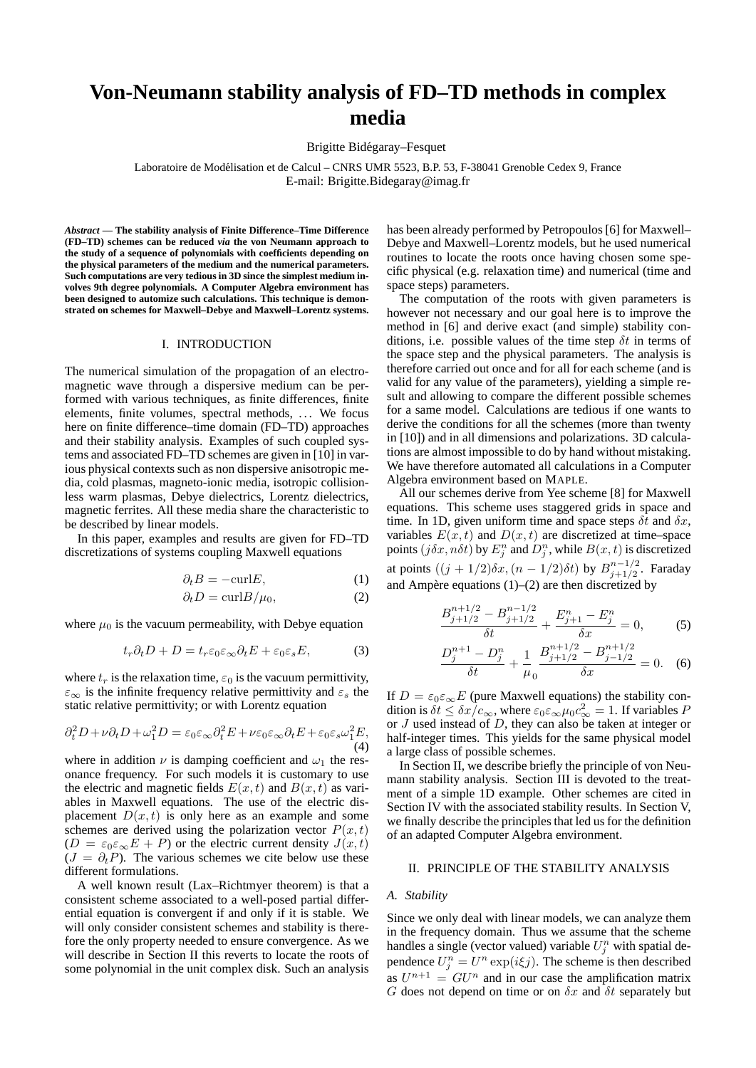# **Von-Neumann stability analysis of FD–TD methods in complex media**

Brigitte Bidegaray–Fesquet ´

Laboratoire de Modelisation et de Calcul – CNRS UMR 5523, B.P. 53, F-38041 Grenoble Cedex 9, France ´ E-mail: Brigitte.Bidegaray@imag.fr

*Abstract* **— The stability analysis of Finite Difference–Time Difference (FD–TD) schemes can be reduced** *via* **the von Neumann approach to the study of a sequence of polynomials with coefficients depending on the physical parameters of the medium and the numerical parameters. Such computations are very tedious in 3D since the simplest medium involves 9th degree polynomials. A Computer Algebra environment has been designed to automize such calculations. This technique is demonstrated on schemes for Maxwell–Debye and Maxwell–Lorentz systems.**

#### I. INTRODUCTION

The numerical simulation of the propagation of an electromagnetic wave through a dispersive medium can be performed with various techniques, as finite differences, finite elements, finite volumes, spectral methods, ... We focus here on finite difference–time domain (FD–TD) approaches and their stability analysis. Examples of such coupled systems and associated FD–TD schemes are given in [10] in various physical contexts such as non dispersive anisotropic media, cold plasmas, magneto-ionic media, isotropic collisionless warm plasmas, Debye dielectrics, Lorentz dielectrics, magnetic ferrites. All these media share the characteristic to be described by linear models.

In this paper, examples and results are given for FD–TD discretizations of systems coupling Maxwell equations

$$
\partial_t B = -\text{curl} E,\tag{1}
$$

$$
\partial_t D = \text{curl} B / \mu_0,\tag{2}
$$

where  $\mu_0$  is the vacuum permeability, with Debye equation

$$
t_r \partial_t D + D = t_r \varepsilon_0 \varepsilon_\infty \partial_t E + \varepsilon_0 \varepsilon_s E,\tag{3}
$$

where  $t_r$  is the relaxation time,  $\varepsilon_0$  is the vacuum permittivity,  $\varepsilon_{\infty}$  is the infinite frequency relative permittivity and  $\varepsilon_{s}$  the static relative permittivity; or with Lorentz equation

$$
\partial_t^2 D + \nu \partial_t D + \omega_1^2 D = \varepsilon_0 \varepsilon_\infty \partial_t^2 E + \nu \varepsilon_0 \varepsilon_\infty \partial_t E + \varepsilon_0 \varepsilon_s \omega_1^2 E,\tag{4}
$$

where in addition  $\nu$  is damping coefficient and  $\omega_1$  the resonance frequency. For such models it is customary to use the electric and magnetic fields  $E(x, t)$  and  $B(x, t)$  as variables in Maxwell equations. The use of the electric displacement  $D(x, t)$  is only here as an example and some schemes are derived using the polarization vector  $P(x, t)$  $(D = \varepsilon_0 \varepsilon_\infty E + P)$  or the electric current density  $J(x, t)$  $(J = \partial_t P)$ . The various schemes we cite below use these different formulations.

A well known result (Lax–Richtmyer theorem) is that a consistent scheme associated to a well-posed partial differential equation is convergent if and only if it is stable. We will only consider consistent schemes and stability is therefore the only property needed to ensure convergence. As we will describe in Section II this reverts to locate the roots of some polynomial in the unit complex disk. Such an analysis has been already performed by Petropoulos [6] for Maxwell– Debye and Maxwell–Lorentz models, but he used numerical routines to locate the roots once having chosen some specific physical (e.g. relaxation time) and numerical (time and space steps) parameters.

The computation of the roots with given parameters is however not necessary and our goal here is to improve the method in [6] and derive exact (and simple) stability conditions, i.e. possible values of the time step  $\delta t$  in terms of the space step and the physical parameters. The analysis is therefore carried out once and for all for each scheme (and is valid for any value of the parameters), yielding a simple result and allowing to compare the different possible schemes for a same model. Calculations are tedious if one wants to derive the conditions for all the schemes (more than twenty in [10]) and in all dimensions and polarizations. 3D calculations are almost impossible to do by hand without mistaking. We have therefore automated all calculations in a Computer Algebra environment based on MAPLE.

All our schemes derive from Yee scheme [8] for Maxwell equations. This scheme uses staggered grids in space and time. In 1D, given uniform time and space steps  $\delta t$  and  $\delta x$ , variables  $E(x, t)$  and  $D(x, t)$  are discretized at time–space points  $(j\delta x, n\delta t)$  by  $E_j^n$  and  $D_j^n$ , while  $B(x, t)$  is discretized at points  $((j + 1/2) \delta x, (n - 1/2) \delta t)$  by  $B_{i+1/2}^{n-1/2}$  $j+1/2$ . Faraday and Ampère equations  $(1)$ – $(2)$  are then discretized by

$$
\frac{B_{j+1/2}^{n+1/2} - B_{j+1/2}^{n-1/2}}{\delta t} + \frac{E_{j+1}^n - E_j^n}{\delta x} = 0,
$$
 (5)

$$
\frac{D_j^{n+1} - D_j^n}{\delta t} + \frac{1}{\mu_0} \frac{B_{j+1/2}^{n+1/2} - B_{j-1/2}^{n+1/2}}{\delta x} = 0.
$$
 (6)

If  $D = \varepsilon_0 \varepsilon_\infty E$  (pure Maxwell equations) the stability condition is  $\delta t \leq \delta x \bar/c_{\infty}$ , where  $\varepsilon_0 \varepsilon_{\infty} \mu_0 c_{\infty}^2 = 1$ . If variables F or J used instead of D, they can also be taken at integer or half-integer times. This yields for the same physical model a large class of possible schemes.

In Section II, we describe briefly the principle of von Neumann stability analysis. Section III is devoted to the treatment of a simple 1D example. Other schemes are cited in Section IV with the associated stability results. In Section V, we finally describe the principles that led us for the definition of an adapted Computer Algebra environment.

## II. PRINCIPLE OF THE STABILITY ANALYSIS

#### *A. Stability*

Since we only deal with linear models, we can analyze them in the frequency domain. Thus we assume that the scheme handles a single (vector valued) variable  $U_j^n$  with spatial dependence  $U_j^n = U^n \exp(i\xi j)$ . The scheme is then described as  $U^{n+1} = GU^{n}$  and in our case the amplification matrix G does not depend on time or on  $\delta x$  and  $\delta t$  separately but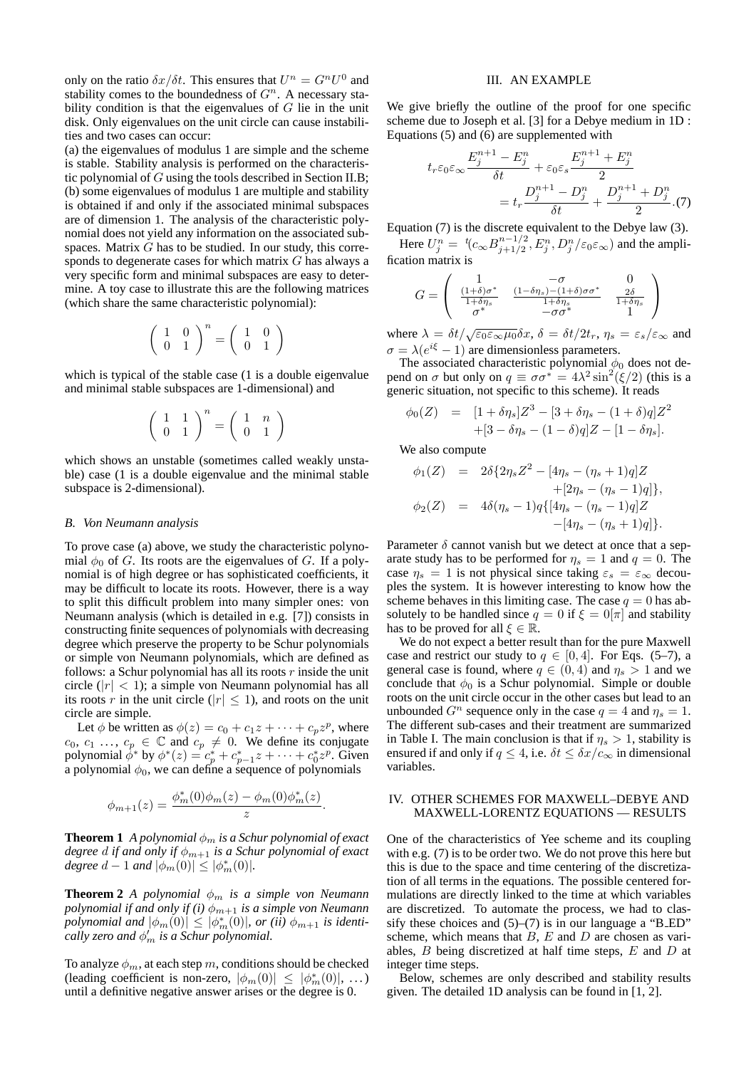only on the ratio  $\delta x/\delta t$ . This ensures that  $U^n = G^n U^0$  and stability comes to the boundedness of  $G<sup>n</sup>$ . A necessary stability condition is that the eigenvalues of  $G$  lie in the unit disk. Only eigenvalues on the unit circle can cause instabilities and two cases can occur:

(a) the eigenvalues of modulus 1 are simple and the scheme is stable. Stability analysis is performed on the characteristic polynomial of G using the tools described in Section II.B; (b) some eigenvalues of modulus 1 are multiple and stability is obtained if and only if the associated minimal subspaces are of dimension 1. The analysis of the characteristic polynomial does not yield any information on the associated subspaces. Matrix  $G$  has to be studied. In our study, this corresponds to degenerate cases for which matrix G has always a very specific form and minimal subspaces are easy to determine. A toy case to illustrate this are the following matrices (which share the same characteristic polynomial):

$$
\left(\begin{array}{cc} 1 & 0 \\ 0 & 1 \end{array}\right)^n=\left(\begin{array}{cc} 1 & 0 \\ 0 & 1 \end{array}\right)
$$

which is typical of the stable case (1 is a double eigenvalue and minimal stable subspaces are 1-dimensional) and

$$
\left(\begin{array}{cc}1&1\\0&1\end{array}\right)^n=\left(\begin{array}{cc}1&n\\0&1\end{array}\right)
$$

which shows an unstable (sometimes called weakly unstable) case (1 is a double eigenvalue and the minimal stable subspace is 2-dimensional).

#### *B. Von Neumann analysis*

To prove case (a) above, we study the characteristic polynomial  $\phi_0$  of G. Its roots are the eigenvalues of G. If a polynomial is of high degree or has sophisticated coefficients, it may be difficult to locate its roots. However, there is a way to split this difficult problem into many simpler ones: von Neumann analysis (which is detailed in e.g. [7]) consists in constructing finite sequences of polynomials with decreasing degree which preserve the property to be Schur polynomials or simple von Neumann polynomials, which are defined as follows: a Schur polynomial has all its roots  $r$  inside the unit circle  $(|r| < 1)$ ; a simple von Neumann polynomial has all its roots r in the unit circle ( $|r| \leq 1$ ), and roots on the unit circle are simple.

Let  $\phi$  be written as  $\phi(z) = c_0 + c_1 z + \cdots + c_p z^p$ , where  $c_0, c_1, \ldots, c_p \in \mathbb{C}$  and  $c_p \neq 0$ . We define its conjugate polynomial  $\dot{\phi}^*$  by  $\phi^*(z) = c_p^* + c_{p-1}^* z + \cdots + c_0^* z^p$ . Given a polynomial  $\phi_0$ , we can define a sequence of polynomials

$$
\phi_{m+1}(z) = \frac{\phi_m^*(0)\phi_m(z) - \phi_m(0)\phi_m^*(z)}{z}
$$

.

**Theorem 1** *A polynomial*  $\phi_m$  *is a Schur polynomial of exact degree* d *if and only if* φm+1 *is a Schur polynomial of exact degree*  $d - 1$  *and*  $|\phi_m(0)| \leq |\phi_m^*(0)|$ *.* 

**Theorem 2** *A polynomial*  $\phi_m$  *is a simple von Neumann polynomial if and only if (i)*  $\phi_{m+1}$  *is a simple von Neumann*  $p$ *olynomial and*  $|\phi_m(0)| \leq |\phi_m^*(0)|$ , or (ii)  $\phi_{m+1}$  is identi*cally zero and*  $\phi'_m$  *is a Schur polynomial.* 

To analyze  $\phi_m$ , at each step m, conditions should be checked (leading coefficient is non-zero,  $|\phi_m(0)| \leq |\phi_m^*(0)|$ , ...) until a definitive negative answer arises or the degree is 0.

### III. AN EXAMPLE

We give briefly the outline of the proof for one specific scheme due to Joseph et al. [3] for a Debye medium in 1D : Equations (5) and (6) are supplemented with

$$
t_r \varepsilon_0 \varepsilon_\infty \frac{E_j^{n+1} - E_j^n}{\delta t} + \varepsilon_0 \varepsilon_s \frac{E_j^{n+1} + E_j^n}{2}
$$
  
= 
$$
t_r \frac{D_j^{n+1} - D_j^n}{\delta t} + \frac{D_j^{n+1} + D_j^n}{2} . (7)
$$

Equation (7) is the discrete equivalent to the Debye law (3). Here  $U_j^n = {}^t(c_{\infty}B_{j+1/2}^{n-1/2})$  $j_{j+1/2}^{(n-1/2)}, E_j^n, D_j^n/\varepsilon_0 \varepsilon_\infty)$  and the ampli-

$$
\text{fraction matrix is}
$$
\n
$$
G = \begin{pmatrix}\n1 & -\sigma & 0 \\
\frac{(1+\delta)\sigma^*}{1+\delta\eta_s} & \frac{(1-\delta\eta_s)-(1+\delta)\sigma\sigma^*}{1+\delta\eta_s} & \frac{2\delta}{1+\delta\eta_s} \\
\sigma^* & -\sigma\sigma^* & 1\n\end{pmatrix}
$$

where  $\lambda = \delta t / \sqrt{\varepsilon_0 \varepsilon_\infty \mu_0} \delta x$ ,  $\delta = \delta t / 2t_r$ ,  $\eta_s = \varepsilon_s / \varepsilon_\infty$  and  $\sigma = \lambda(e^{i\xi} - 1)$  are dimensionless parameters.

The associated characteristic polynomial  $\phi_0$  does not depend on  $\sigma$  but only on  $q \equiv \sigma \sigma^* = 4\lambda^2 \sin^2(\xi/2)$  (this is a generic situation, not specific to this scheme). It reads

$$
\phi_0(Z) = [1 + \delta \eta_s] Z^3 - [3 + \delta \eta_s - (1 + \delta)q] Z^2 + [3 - \delta \eta_s - (1 - \delta)q] Z - [1 - \delta \eta_s].
$$

We also compute

$$
\phi_1(Z) = 2\delta \{2\eta_s Z^2 - [4\eta_s - (\eta_s + 1)q]Z + [2\eta_s - (\eta_s - 1)q] \},
$$
  

$$
\phi_2(Z) = 4\delta(\eta_s - 1)q\{[4\eta_s - (\eta_s - 1)q]Z - [4\eta_s - (\eta_s + 1)q] \}.
$$

Parameter  $\delta$  cannot vanish but we detect at once that a separate study has to be performed for  $\eta_s = 1$  and  $q = 0$ . The case  $\eta_s = 1$  is not physical since taking  $\varepsilon_s = \varepsilon_\infty$  decouples the system. It is however interesting to know how the scheme behaves in this limiting case. The case  $q = 0$  has absolutely to be handled since  $q = 0$  if  $\xi = 0|\pi|$  and stability has to be proved for all  $\xi \in \mathbb{R}$ .

We do not expect a better result than for the pure Maxwell case and restrict our study to  $q \in [0, 4]$ . For Eqs. (5–7), a general case is found, where  $q \in (0, 4)$  and  $\eta_s > 1$  and we conclude that  $\phi_0$  is a Schur polynomial. Simple or double roots on the unit circle occur in the other cases but lead to an unbounded  $G<sup>n</sup>$  sequence only in the case  $q = 4$  and  $\eta_s = 1$ . The different sub-cases and their treatment are summarized in Table I. The main conclusion is that if  $\eta_s > 1$ , stability is ensured if and only if  $q \leq 4$ , i.e.  $\delta t \leq \delta x/c_{\infty}$  in dimensional variables.

### IV. OTHER SCHEMES FOR MAXWELL–DEBYE AND MAXWELL-LORENTZ EQUATIONS — RESULTS

One of the characteristics of Yee scheme and its coupling with e.g. (7) is to be order two. We do not prove this here but this is due to the space and time centering of the discretization of all terms in the equations. The possible centered formulations are directly linked to the time at which variables are discretized. To automate the process, we had to classify these choices and  $(5)-(7)$  is in our language a "B\_ED" scheme, which means that  $B$ ,  $E$  and  $D$  are chosen as variables, B being discretized at half time steps, E and D at integer time steps.

Below, schemes are only described and stability results given. The detailed 1D analysis can be found in [1, 2].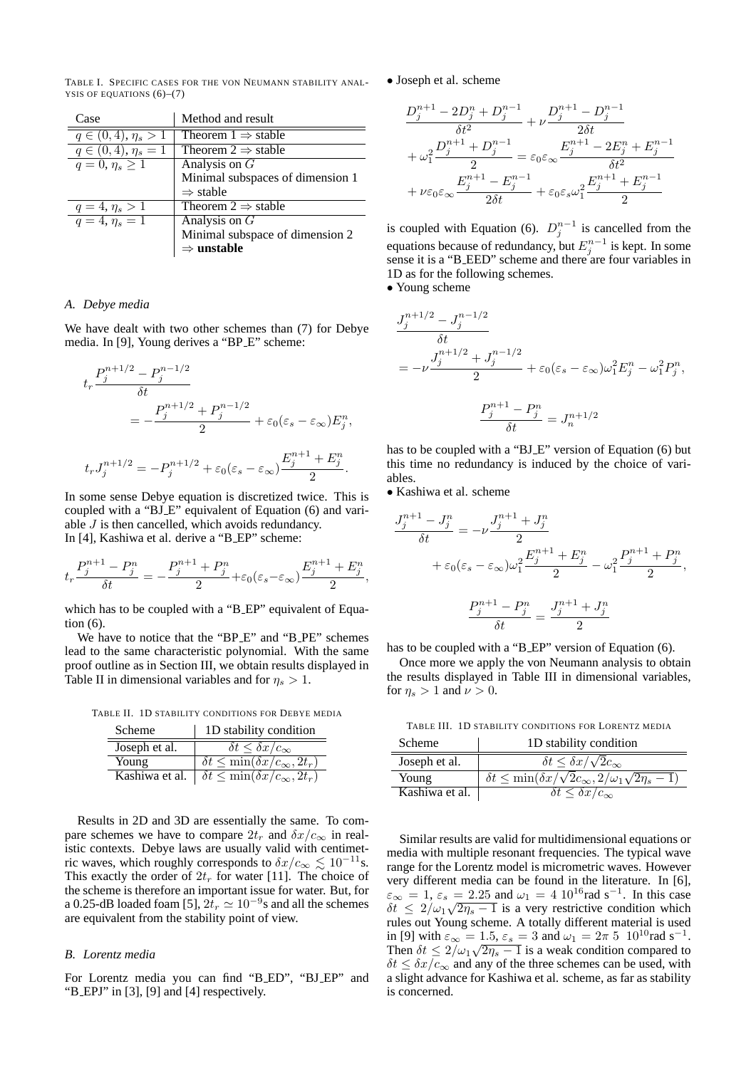TABLE I. SPECIFIC CASES FOR THE VON NEUMANN STABILITY ANAL-YSIS OF EQUATIONS  $(6)-(7)$ 

| Case                              | Method and result                |
|-----------------------------------|----------------------------------|
| $q \in (0, 4), \eta_s > 1$        | Theorem $1 \Rightarrow$ stable   |
| $q \in (0, 4), \eta_s = 1$        | Theorem $2 \Rightarrow$ stable   |
| $\overline{q} = 0, \eta_s \geq 1$ | Analysis on $G$                  |
|                                   | Minimal subspaces of dimension 1 |
|                                   | $\Rightarrow$ stable             |
| $q = 4, \eta_s > 1$               | Theorem $2 \Rightarrow$ stable   |
| $\overline{q=4, \eta_s}=1$        | Analysis on $G$                  |
|                                   | Minimal subspace of dimension 2  |
|                                   | $\Rightarrow$ unstable           |

#### *A. Debye media*

We have dealt with two other schemes than (7) for Debye media. In [9], Young derives a "BP E" scheme:

$$
t_r \frac{P_j^{n+1/2} - P_j^{n-1/2}}{\delta t}
$$
  
=  $-\frac{P_j^{n+1/2} + P_j^{n-1/2}}{2} + \varepsilon_0(\varepsilon_s - \varepsilon_\infty) E_j^n$ ,  
 $t_r J_j^{n+1/2} = -P_j^{n+1/2} + \varepsilon_0(\varepsilon_s - \varepsilon_\infty) \frac{E_j^{n+1} + E_j^n}{2}$ .

In some sense Debye equation is discretized twice. This is coupled with a "BJ\_E" equivalent of Equation (6) and variable  $J$  is then cancelled, which avoids redundancy. In [4], Kashiwa et al. derive a "B EP" scheme:

$$
t_r \frac{P_j^{n+1} - P_j^n}{\delta t} = -\frac{P_j^{n+1} + P_j^n}{2} + \varepsilon_0(\varepsilon_s - \varepsilon_\infty) \frac{E_j^{n+1} + E_j^n}{2},
$$

which has to be coupled with a "B\_EP" equivalent of Equation (6).

We have to notice that the "BP\_E" and "B\_PE" schemes lead to the same characteristic polynomial. With the same proof outline as in Section III, we obtain results displayed in Table II in dimensional variables and for  $\eta_s > 1$ .

TABLE II. 1D STABILITY CONDITIONS FOR DEBYE MEDIA

| Scheme         | 1D stability condition                                                |
|----------------|-----------------------------------------------------------------------|
| Joseph et al.  | $\delta t \leq \delta x/c_{\infty}$                                   |
| Young          | $\delta t \leq \min(\delta x/c_{\infty}, 2t_r)$                       |
| Kashiwa et al. | $\overline{\delta t} \leq \min(\overline{\delta x/c_{\infty}, 2t_r})$ |

Results in 2D and 3D are essentially the same. To compare schemes we have to compare  $2t_r$  and  $\delta x/c_\infty$  in realistic contexts. Debye laws are usually valid with centimetric waves, which roughly corresponds to  $\delta x/c_{\infty} \lesssim 10^{-11}$ s. This exactly the order of  $2t_r$  for water [11]. The choice of the scheme is therefore an important issue for water. But, for a 0.25-dB loaded foam [5],  $2t_r \simeq 10^{-9}$ s and all the schemes are equivalent from the stability point of view.

## *B. Lorentz media*

For Lorentz media you can find "B ED", "BJ EP" and "B EPJ" in [3], [9] and [4] respectively.

• Joseph et al. scheme

$$
\begin{aligned} &\frac{D_j^{n+1}-2D_j^{n}+D_j^{n-1}}{\delta t^2}+\nu\frac{D_j^{n+1}-D_j^{n-1}}{2\delta t}\\&+\omega_1^2\frac{D_j^{n+1}+D_j^{n-1}}{2}&=\varepsilon_0\varepsilon_\infty\frac{E_j^{n+1}-2E_j^{n}+E_j^{n-1}}{\delta t^2}\\&+\nu\varepsilon_0\varepsilon_\infty\frac{E_j^{n+1}-E_j^{n-1}}{2\delta t}+\varepsilon_0\varepsilon_s\omega_1^2\frac{E_j^{n+1}+E_j^{n-1}}{2} \end{aligned}
$$

is coupled with Equation (6).  $D_j^{n-1}$  is cancelled from the equations because of redundancy, but  $E_j^{n-1}$  is kept. In some sense it is a "B EED" scheme and there are four variables in 1D as for the following schemes.

• Young scheme

$$
J_j^{n+1/2} - J_j^{n-1/2}
$$
  
\n
$$
\delta t
$$
  
\n
$$
= -\nu \frac{J_j^{n+1/2} + J_j^{n-1/2}}{2} + \varepsilon_0 (\varepsilon_s - \varepsilon_\infty) \omega_1^2 E_j^n - \omega_1^2 P_j^n,
$$
  
\n
$$
\frac{P_j^{n+1} - P_j^n}{\delta t} = J_n^{n+1/2}
$$

has to be coupled with a "BJ\_E" version of Equation (6) but this time no redundancy is induced by the choice of variables.

• Kashiwa et al. scheme

$$
\frac{J_j^{n+1} - J_j^n}{\delta t} = -\nu \frac{J_j^{n+1} + J_j^n}{2}
$$
  
+  $\varepsilon_0 (\varepsilon_s - \varepsilon_\infty) \omega_1^2 \frac{E_j^{n+1} + E_j^n}{2} - \omega_1^2 \frac{P_j^{n+1} + P_j^n}{2},$   

$$
\frac{P_j^{n+1} - P_j^n}{\delta t} = \frac{J_j^{n+1} + J_j^n}{2}
$$

has to be coupled with a "B\_EP" version of Equation (6).

Once more we apply the von Neumann analysis to obtain the results displayed in Table III in dimensional variables, for  $\eta_s > 1$  and  $\nu > 0$ .

TABLE III. 1D STABILITY CONDITIONS FOR LORENTZ MEDIA

| <b>Scheme</b>  | 1D stability condition                                                        |
|----------------|-------------------------------------------------------------------------------|
| Joseph et al.  | $\delta t \leq \delta x/\sqrt{2}c_{\infty}$                                   |
| Young          | $\delta t \leq \min(\delta x/\sqrt{2}c_{\infty}, 2/\omega_1\sqrt{2\eta_s-1})$ |
| Kashiwa et al. | $\delta t \leq \delta x/c_{\infty}$                                           |

Similar results are valid for multidimensional equations or media with multiple resonant frequencies. The typical wave range for the Lorentz model is micrometric waves. However very different media can be found in the literature. In [6],  $\varepsilon_{\infty} = 1, \varepsilon_{s} = 2.25$  and  $\omega_{1} = 4 \; 10^{16}$  rad s<sup>-1</sup>. In this case  $\delta t \leq 2/\omega_1\sqrt{2\eta_s - 1}$  is a very restrictive condition which rules out Young scheme. A totally different material is used in [9] with  $\varepsilon_{\infty} = 1.5$ ,  $\varepsilon_{s} = 3$  and  $\omega_{1} = 2\pi 5 10^{10}$  rad s<sup>-1</sup>. Then  $\delta t \leq 2/\omega_1 \sqrt{2\eta_s - 1}$  is a weak condition compared to  $\delta t \leq \delta x/c_{\infty}$  and any of the three schemes can be used, with a slight advance for Kashiwa et al. scheme, as far as stability is concerned.